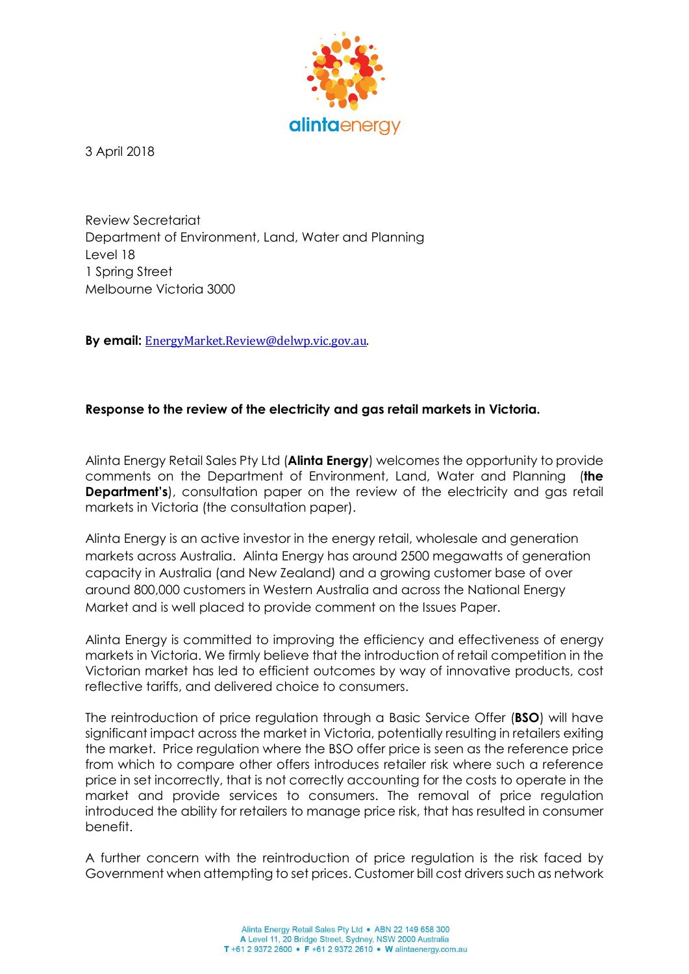

3 April 2018

Review Secretariat Department of Environment, Land, Water and Planning Level 18 1 Spring Street Melbourne Victoria 3000

By email: EnergyMarket.Review@delwp.vic.gov.au.

## Response to the review of the electricity and gas retail markets in Victoria.

Alinta Energy Retail Sales Pty Ltd (**Alinta Energy**) welcomes the opportunity to provide comments on the Department of Environment, Land, Water and Planning (the **Department's)**, consultation paper on the review of the electricity and gas retail markets in Victoria (the consultation paper).

Alinta Energy is an active investor in the energy retail, wholesale and generation markets across Australia. Alinta Energy has around 2500 megawatts of generation capacity in Australia (and New Zealand) and a growing customer base of over around 800,000 customers in Western Australia and across the National Energy Market and is well placed to provide comment on the Issues Paper.

Alinta Energy is committed to improving the efficiency and effectiveness of energy markets in Victoria. We firmly believe that the introduction of retail competition in the Victorian market has led to efficient outcomes by way of innovative products, cost reflective tariffs, and delivered choice to consumers.

The reintroduction of price regulation through a Basic Service Offer (**BSO**) will have significant impact across the market in Victoria, potentially resulting in retailers exiting the market. Price regulation where the BSO offer price is seen as the reference price from which to compare other offers introduces retailer risk where such a reference price in set incorrectly, that is not correctly accounting for the costs to operate in the market and provide services to consumers. The removal of price regulation introduced the ability for retailers to manage price risk, that has resulted in consumer benefit.

A further concern with the reintroduction of price regulation is the risk faced by Government when attempting to set prices. Customer bill cost drivers such as network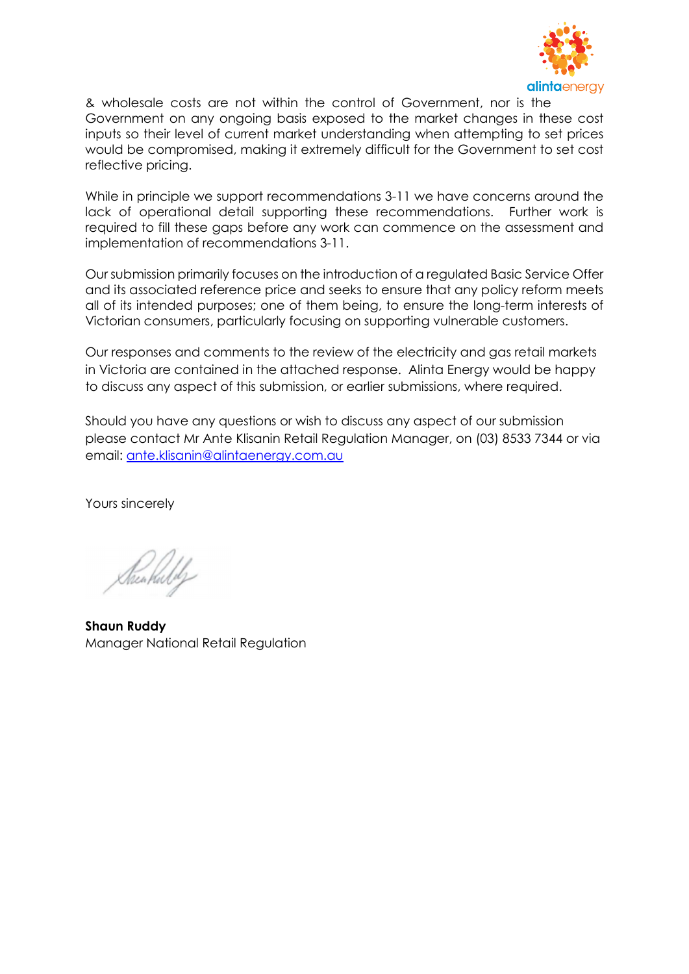

& wholesale costs are not within the control of Government, nor is the Government on any ongoing basis exposed to the market changes in these cost inputs so their level of current market understanding when attempting to set prices would be compromised, making it extremely difficult for the Government to set cost reflective pricing.

While in principle we support recommendations 3-11 we have concerns around the lack of operational detail supporting these recommendations. Further work is required to fill these gaps before any work can commence on the assessment and implementation of recommendations 3-11.

Our submission primarily focuses on the introduction of a regulated Basic Service Offer and its associated reference price and seeks to ensure that any policy reform meets all of its intended purposes; one of them being, to ensure the long-term interests of Victorian consumers, particularly focusing on supporting vulnerable customers.

Our responses and comments to the review of the electricity and gas retail markets in Victoria are contained in the attached response. Alinta Energy would be happy to discuss any aspect of this submission, or earlier submissions, where required.

Should you have any questions or wish to discuss any aspect of our submission please contact Mr Ante Klisanin Retail Regulation Manager, on (03) 8533 7344 or via email: ante.klisanin@alintaenergy.com.au

Yours sincerely

Kenkuldy

Shaun Ruddy Manager National Retail Regulation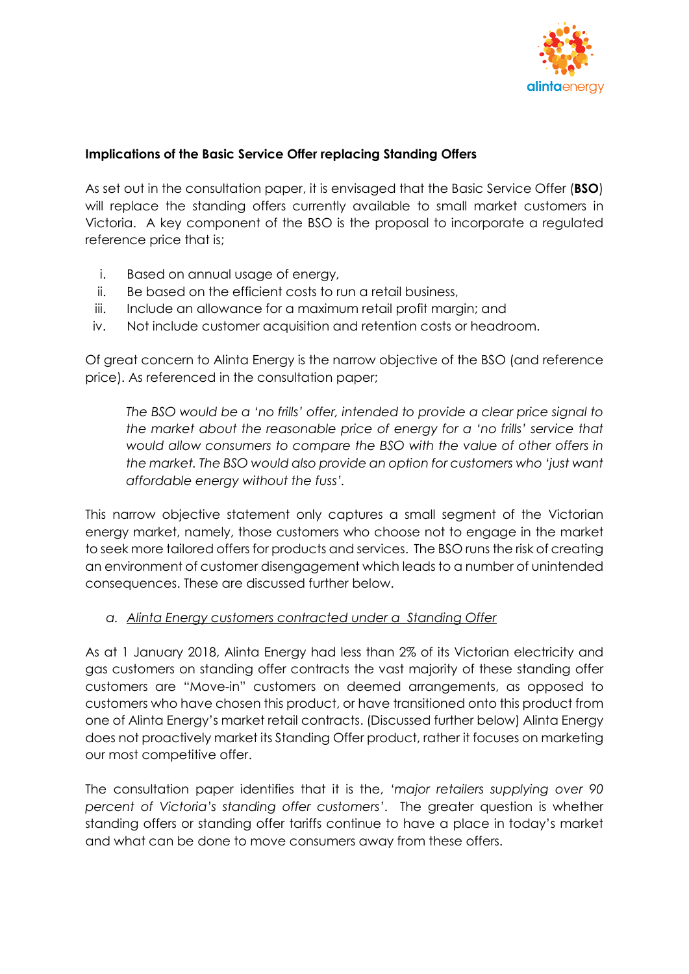

## Implications of the Basic Service Offer replacing Standing Offers

As set out in the consultation paper, it is envisaged that the Basic Service Offer (BSO) will replace the standing offers currently available to small market customers in Victoria. A key component of the BSO is the proposal to incorporate a regulated reference price that is;

- i. Based on annual usage of energy,
- ii. Be based on the efficient costs to run a retail business,
- iii. Include an allowance for a maximum retail profit margin; and
- iv. Not include customer acquisition and retention costs or headroom.

Of great concern to Alinta Energy is the narrow objective of the BSO (and reference price). As referenced in the consultation paper;

The BSO would be a 'no frills' offer, intended to provide a clear price signal to the market about the reasonable price of energy for a 'no frills' service that would allow consumers to compare the BSO with the value of other offers in the market. The BSO would also provide an option for customers who 'just want affordable energy without the fuss'.

This narrow objective statement only captures a small segment of the Victorian energy market, namely, those customers who choose not to engage in the market to seek more tailored offers for products and services. The BSO runs the risk of creating an environment of customer disengagement which leads to a number of unintended consequences. These are discussed further below.

## a. Alinta Energy customers contracted under a Standing Offer

As at 1 January 2018, Alinta Energy had less than 2% of its Victorian electricity and gas customers on standing offer contracts the vast majority of these standing offer customers are "Move-in" customers on deemed arrangements, as opposed to customers who have chosen this product, or have transitioned onto this product from one of Alinta Energy's market retail contracts. (Discussed further below) Alinta Energy does not proactively market its Standing Offer product, rather it focuses on marketing our most competitive offer.

The consultation paper identifies that it is the, 'major retailers supplying over 90 percent of Victoria's standing offer customers'. The greater question is whether standing offers or standing offer tariffs continue to have a place in today's market and what can be done to move consumers away from these offers.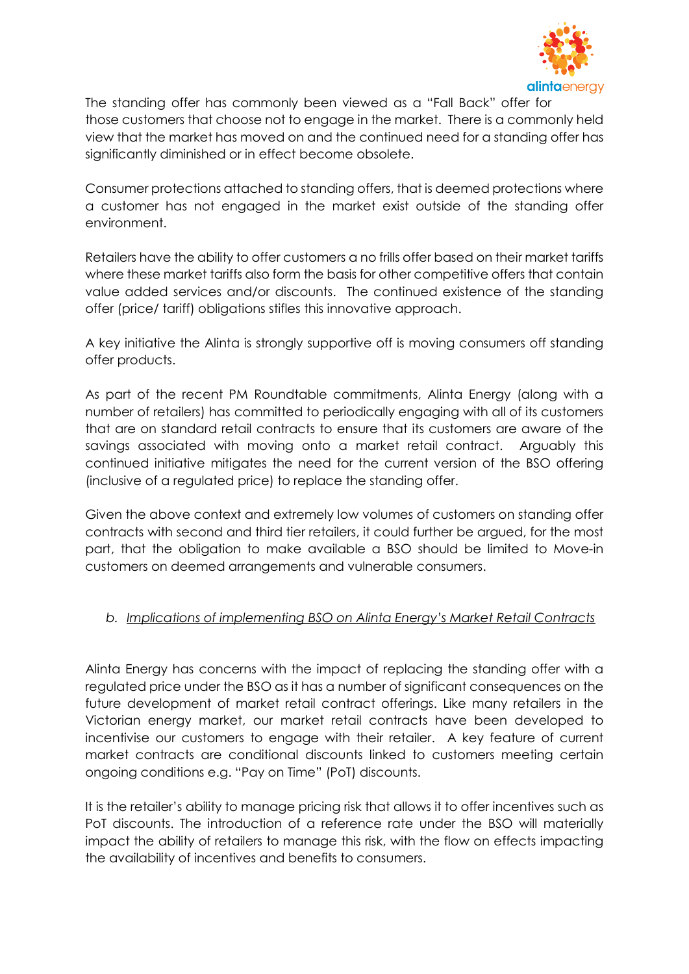

The standing offer has commonly been viewed as a "Fall Back" offer for those customers that choose not to engage in the market. There is a commonly held view that the market has moved on and the continued need for a standing offer has significantly diminished or in effect become obsolete.

Consumer protections attached to standing offers, that is deemed protections where a customer has not engaged in the market exist outside of the standing offer environment.

Retailers have the ability to offer customers a no frills offer based on their market tariffs where these market tariffs also form the basis for other competitive offers that contain value added services and/or discounts. The continued existence of the standing offer (price/ tariff) obligations stifles this innovative approach.

A key initiative the Alinta is strongly supportive off is moving consumers off standing offer products.

As part of the recent PM Roundtable commitments, Alinta Energy (along with a number of retailers) has committed to periodically engaging with all of its customers that are on standard retail contracts to ensure that its customers are aware of the savings associated with moving onto a market retail contract. Arguably this continued initiative mitigates the need for the current version of the BSO offering (inclusive of a regulated price) to replace the standing offer.

Given the above context and extremely low volumes of customers on standing offer contracts with second and third tier retailers, it could further be argued, for the most part, that the obligation to make available a BSO should be limited to Move-in customers on deemed arrangements and vulnerable consumers.

# b. Implications of implementing BSO on Alinta Energy's Market Retail Contracts

Alinta Energy has concerns with the impact of replacing the standing offer with a regulated price under the BSO as it has a number of significant consequences on the future development of market retail contract offerings. Like many retailers in the Victorian energy market, our market retail contracts have been developed to incentivise our customers to engage with their retailer. A key feature of current market contracts are conditional discounts linked to customers meeting certain ongoing conditions e.g. "Pay on Time" (PoT) discounts.

It is the retailer's ability to manage pricing risk that allows it to offer incentives such as PoT discounts. The introduction of a reference rate under the BSO will materially impact the ability of retailers to manage this risk, with the flow on effects impacting the availability of incentives and benefits to consumers.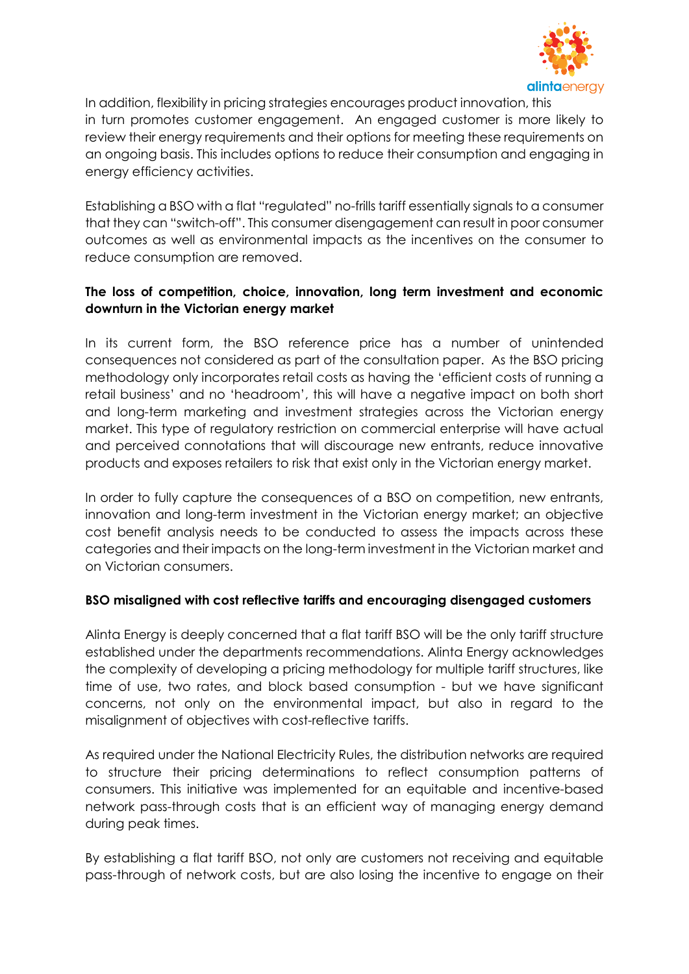

In addition, flexibility in pricing strategies encourages product innovation, this in turn promotes customer engagement. An engaged customer is more likely to review their energy requirements and their options for meeting these requirements on an ongoing basis. This includes options to reduce their consumption and engaging in energy efficiency activities.

Establishing a BSO with a flat "regulated" no-frills tariff essentially signals to a consumer that they can "switch-off". This consumer disengagement can result in poor consumer outcomes as well as environmental impacts as the incentives on the consumer to reduce consumption are removed.

## The loss of competition, choice, innovation, long term investment and economic downturn in the Victorian energy market

In its current form, the BSO reference price has a number of unintended consequences not considered as part of the consultation paper. As the BSO pricing methodology only incorporates retail costs as having the 'efficient costs of running a retail business' and no 'headroom', this will have a negative impact on both short and long-term marketing and investment strategies across the Victorian energy market. This type of regulatory restriction on commercial enterprise will have actual and perceived connotations that will discourage new entrants, reduce innovative products and exposes retailers to risk that exist only in the Victorian energy market.

In order to fully capture the consequences of a BSO on competition, new entrants, innovation and long-term investment in the Victorian energy market; an objective cost benefit analysis needs to be conducted to assess the impacts across these categories and their impacts on the long-term investment in the Victorian market and on Victorian consumers.

## BSO misaligned with cost reflective tariffs and encouraging disengaged customers

Alinta Energy is deeply concerned that a flat tariff BSO will be the only tariff structure established under the departments recommendations. Alinta Energy acknowledges the complexity of developing a pricing methodology for multiple tariff structures, like time of use, two rates, and block based consumption - but we have significant concerns, not only on the environmental impact, but also in regard to the misalignment of objectives with cost-reflective tariffs.

As required under the National Electricity Rules, the distribution networks are required to structure their pricing determinations to reflect consumption patterns of consumers. This initiative was implemented for an equitable and incentive-based network pass-through costs that is an efficient way of managing energy demand during peak times.

By establishing a flat tariff BSO, not only are customers not receiving and equitable pass-through of network costs, but are also losing the incentive to engage on their